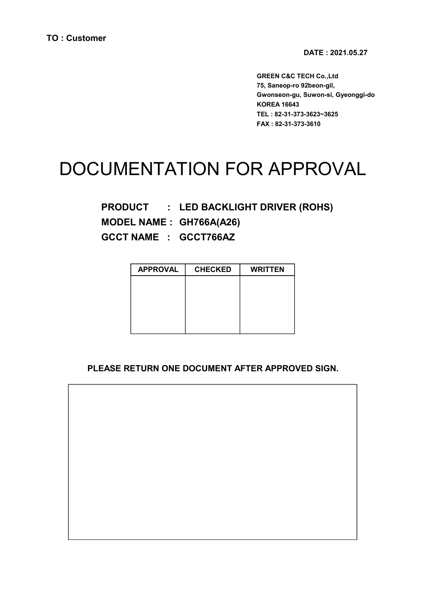DATE : 2021.05.27

GREEN C&C TECH Co.,Ltd 75, Saneop-ro 92beon-gil, Gwonseon-gu, Suwon-si, Gyeonggi-do KOREA 16643 TEL : 82-31-373-3623~3625 FAX : 82-31-373-3610

# DOCUMENTATION FOR APPROVAL

PRODUCT : LED BACKLIGHT DRIVER (ROHS) MODEL NAME : GH766A(A26) GCCT NAME : GCCT766AZ

| <b>APPROVAL</b> | <b>CHECKED</b> | <b>WRITTEN</b> |
|-----------------|----------------|----------------|
|                 |                |                |
|                 |                |                |
|                 |                |                |
|                 |                |                |
|                 |                |                |

#### PLEASE RETURN ONE DOCUMENT AFTER APPROVED SIGN.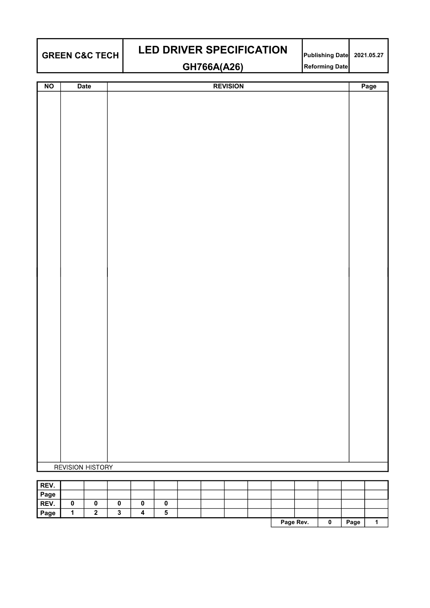| <b>GREEN C&amp;C TECH</b> |  |
|---------------------------|--|
|                           |  |

# $\texttt{GREEN C&C}\ \texttt{TECH}$  LED DRIVER SPECIFICATION  $\begin{array}{|l|}\texttt{Publishing Date}\end{array}$  2021.05.27 GH766A(A26) Reforming Date

| $N$ O | <b>Date</b>             | <b>REVISION</b> | Page |
|-------|-------------------------|-----------------|------|
|       |                         |                 |      |
|       |                         |                 |      |
|       |                         |                 |      |
|       |                         |                 |      |
|       |                         |                 |      |
|       |                         |                 |      |
|       |                         |                 |      |
|       |                         |                 |      |
|       |                         |                 |      |
|       |                         |                 |      |
|       |                         |                 |      |
|       |                         |                 |      |
|       |                         |                 |      |
|       |                         |                 |      |
|       |                         |                 |      |
|       |                         |                 |      |
|       |                         |                 |      |
|       |                         |                 |      |
|       |                         |                 |      |
|       |                         |                 |      |
|       |                         |                 |      |
|       |                         |                 |      |
|       |                         |                 |      |
|       |                         |                 |      |
|       |                         |                 |      |
|       |                         |                 |      |
|       |                         |                 |      |
|       |                         |                 |      |
|       |                         |                 |      |
|       | <b>REVISION HISTORY</b> |                 |      |

| REV. |   |   |   |  |  |           |   |      |  |
|------|---|---|---|--|--|-----------|---|------|--|
| Page |   |   |   |  |  |           |   |      |  |
| REV. |   |   |   |  |  |           |   |      |  |
| Page | - | w | o |  |  |           |   |      |  |
|      |   |   |   |  |  | Page Rev. | u | Page |  |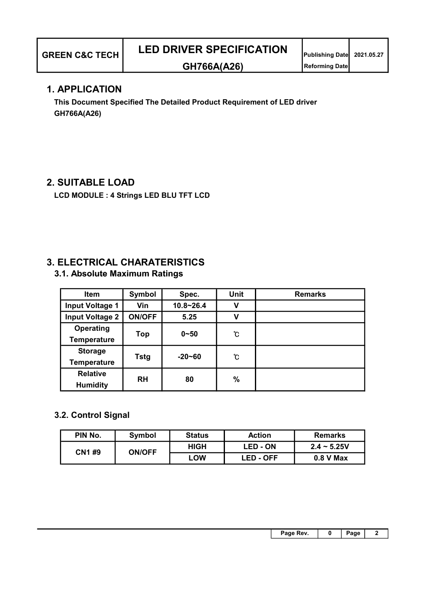#### 1. APPLICATION

 This Document Specified The Detailed Product Requirement of LED driver GH766A(A26)

### 2. SUITABLE LOAD

LCD MODULE : 4 Strings LED BLU TFT LCD

## 3. ELECTRICAL CHARATERISTICS

3.1. Absolute Maximum Ratings

| Item                   | Symbol        | Spec.         | <b>Unit</b>      | <b>Remarks</b> |
|------------------------|---------------|---------------|------------------|----------------|
| <b>Input Voltage 1</b> | Vin           | $10.8 - 26.4$ | v                |                |
| <b>Input Voltage 2</b> | <b>ON/OFF</b> | 5.25          | v                |                |
| Operating              |               | $0 - 50$      | ී.               |                |
| <b>Temperature</b>     | Top           |               |                  |                |
| <b>Storage</b>         |               |               | "C<br>$-20 - 60$ |                |
| <b>Temperature</b>     | <b>Tstg</b>   |               |                  |                |
| <b>Relative</b>        | <b>RH</b>     | 80            | $\%$             |                |
| <b>Humidity</b>        |               |               |                  |                |

#### 3.2. Control Signal

| PIN No. | Symbol        | <b>Status</b> | <b>Action</b>   | <b>Remarks</b> |
|---------|---------------|---------------|-----------------|----------------|
| CN1#9   | <b>ON/OFF</b> | <b>HIGH</b>   | <b>LED - ON</b> | $2.4 - 5.25V$  |
|         |               | LOW           | LED - OFF       | $0.8$ V Max    |

| Page Rev. |  |  |
|-----------|--|--|
|           |  |  |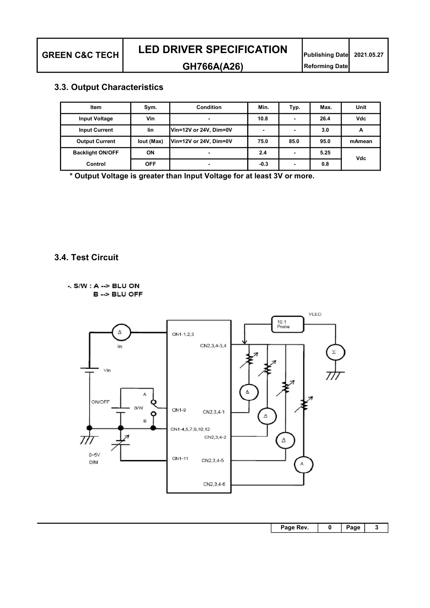#### 3.3. Output Characteristics

| Item                    | Sym.       | Condition              | Min.   | Typ.                     | Max. | Unit   |
|-------------------------|------------|------------------------|--------|--------------------------|------|--------|
| <b>Input Voltage</b>    | Vin        | $\blacksquare$         | 10.8   | $\overline{\phantom{0}}$ | 26.4 | Vdc    |
| <b>Input Current</b>    | lin        | Vin=12V or 24V, Dim=0V | -      | $\blacksquare$           | 3.0  | А      |
| <b>Output Current</b>   | lout (Max) | Vin=12V or 24V, Dim=0V | 75.0   | 85.0                     | 95.0 | mAmean |
| <b>Backlight ON/OFF</b> | ON         | $\blacksquare$         | 2.4    | $\overline{\phantom{0}}$ | 5.25 | Vdc    |
| Control                 | <b>OFF</b> | $\blacksquare$         | $-0.3$ |                          | 0.8  |        |

\* Output Voltage is greater than Input Voltage for at least 3V or more.

#### 3.4. Test Circuit

 $-S/W : A \rightarrow BLU ON$ B --> BLU OFF



| Page Rev. | n | Page |  |
|-----------|---|------|--|
|           |   |      |  |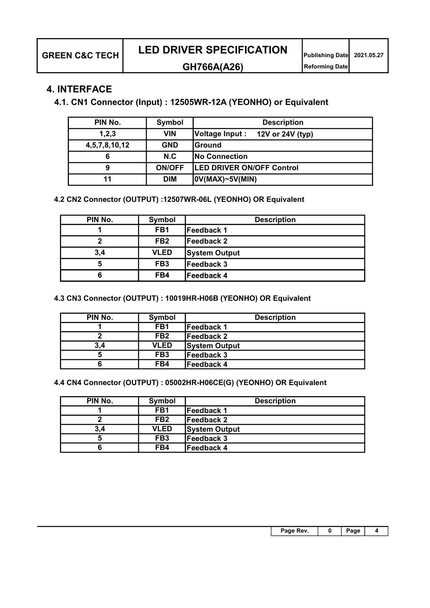#### GH766A(A26) Reforming Date

#### 4. INTERFACE

4.1. CN1 Connector (Input) : 12505WR-12A (YEONHO) or Equivalent

| PIN No.       | Symbol        | <b>Description</b>                  |
|---------------|---------------|-------------------------------------|
| 1, 2, 3       | <b>VIN</b>    | Voltage Input :<br>12V or 24V (typ) |
| 4,5,7,8,10,12 | <b>GND</b>    | <b>S</b> round                      |
| 6             | N.C           | <b>No Connection</b>                |
| 9             | <b>ON/OFF</b> | <b>LED DRIVER ON/OFF Control</b>    |
| 11            | <b>DIM</b>    | $ 0V(MAX)-5V(MIN) $                 |

4.2 CN2 Connector (OUTPUT) :12507WR-06L (YEONHO) OR Equivalent

| PIN No. | Symbol          | <b>Description</b>   |
|---------|-----------------|----------------------|
|         | FB <sub>1</sub> | Feedback 1           |
|         | FB <sub>2</sub> | lFeedback 2          |
| 3,4     | <b>VLED</b>     | <b>System Output</b> |
| 5       | FB <sub>3</sub> | Feedback 3           |
| 6       | FB4             | Feedback 4           |

4.3 CN3 Connector (OUTPUT) : 10019HR-H06B (YEONHO) OR Equivalent

| PIN No. | Symbol          | <b>Description</b>   |
|---------|-----------------|----------------------|
|         | FB <sub>1</sub> | <b>IFeedback 1</b>   |
|         | FB <sub>2</sub> | <b>IFeedback 2</b>   |
| 3,4     | <b>VLED</b>     | <b>System Output</b> |
| 5       | FB <sub>3</sub> | <b>IFeedback 3</b>   |
|         | FB4             | <b>IFeedback 4</b>   |

4.4 CN4 Connector (OUTPUT) : 05002HR-H06CE(G) (YEONHO) OR Equivalent

| PIN No. | Symbol          | <b>Description</b>   |
|---------|-----------------|----------------------|
|         | FB <sub>1</sub> | lFeedback 1          |
|         | FB <sub>2</sub> | lFeedback 2          |
| 3,4     | <b>VLED</b>     | <b>System Output</b> |
|         | FB <sub>3</sub> | Feedback 3           |
|         | FB4             | Feedback 4           |